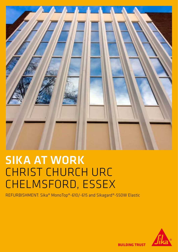

## SIKA AT WORK CHRIST CHURCH URC CHELMSFORD, ESSEX

REFURBISHMENT: Sika® MonoTop®-610/-615 and Sikagard®-550W Elastic



**BUILDING TRUST**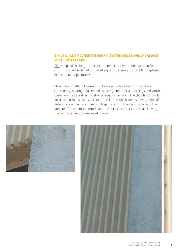## SIKA'S QUALITY CONCRETE REPAIR SYSTEM RIDS UNHOLY DAMAGE TO CHURCH FAÇADE.

[Sika](http://gbr.sika.com/en/group.html) supplied the long-term concrete repair and protection solution for a church façade which had displayed signs of deterioration due to long-term exposure to air pollutants.

Christ Church URC in Chelmsford, Essex provides a hub for the whole community, hosting mother and toddler groups, social meetings and youthbased events as well as traditional religious services. The church's brick-clad structure includes exposed concrete columns which were showing signs of deterioration due to carbonation together with other factors causing the steel reinforcement to corrode and the surface to crack and spall, leaving the reinforcement bar exposed in areas.